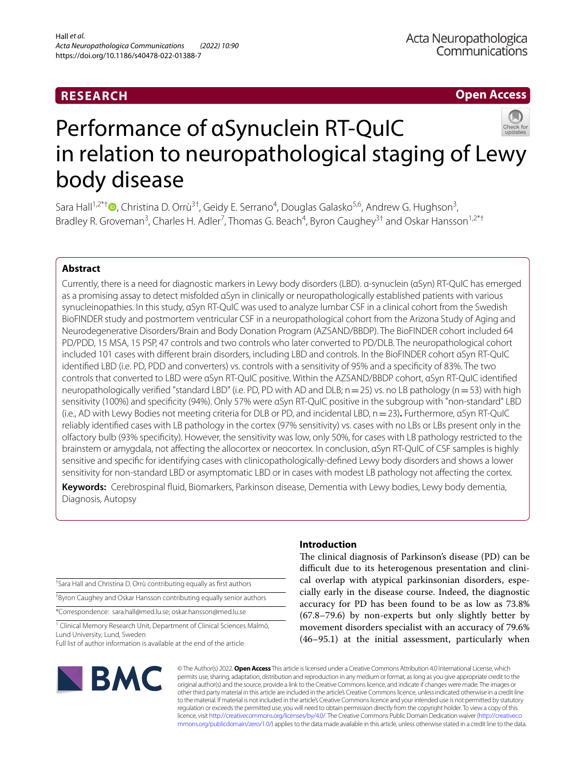# **RESEARCH**

**Open Access**



# Performance of αSynuclein RT-QuIC in relation to neuropathological staging of Lewy body disease

Sara Hall<sup>1,2\*[†](http://orcid.org/0000-0001-6585-9105)</sup> <sup>O</sup>, Christina D. Orrù<sup>3†</sup>, Geidy E. Serrano<sup>4</sup>, Douglas Galasko<sup>5,6</sup>, Andrew G. Hughson<sup>3</sup>, Bradley R. Groveman<sup>3</sup>, Charles H. Adler<sup>7</sup>, Thomas G. Beach<sup>4</sup>, Byron Caughey<sup>3†</sup> and Oskar Hansson<sup>1,2\*†</sup>

# **Abstract**

Currently, there is a need for diagnostic markers in Lewy body disorders (LBD). α-synuclein (αSyn) RT-QuIC has emerged as a promising assay to detect misfolded αSyn in clinically or neuropathologically established patients with various synucleinopathies. In this study, αSyn RT-QuIC was used to analyze lumbar CSF in a clinical cohort from the Swedish BioFINDER study and postmortem ventricular CSF in a neuropathological cohort from the Arizona Study of Aging and Neurodegenerative Disorders/Brain and Body Donation Program (AZSAND/BBDP). The BioFINDER cohort included 64 PD/PDD, 15 MSA, 15 PSP, 47 controls and two controls who later converted to PD/DLB. The neuropathological cohort included 101 cases with diferent brain disorders, including LBD and controls. In the BioFINDER cohort αSyn RT-QuIC identifed LBD (i.e. PD, PDD and converters) vs. controls with a sensitivity of 95% and a specifcity of 83%. The two controls that converted to LBD were αSyn RT-QuIC positive. Within the AZSAND/BBDP cohort, αSyn RT-QuIC identifed neuropathologically verified "standard LBD" (i.e. PD, PD with AD and DLB;  $n=25$ ) vs. no LB pathology ( $n=53$ ) with high sensitivity (100%) and specifcity (94%). Only 57% were αSyn RT-QuIC positive in the subgroup with "non-standard" LBD (i.e., AD with Lewy Bodies not meeting criteria for DLB or PD, and incidental LBD, n=23)**.** Furthermore, αSyn RT-QuIC reliably identifed cases with LB pathology in the cortex (97% sensitivity) vs. cases with no LBs or LBs present only in the olfactory bulb (93% specifcity). However, the sensitivity was low, only 50%, for cases with LB pathology restricted to the brainstem or amygdala, not afecting the allocortex or neocortex. In conclusion, αSyn RT-QuIC of CSF samples is highly sensitive and specifc for identifying cases with clinicopathologically-defned Lewy body disorders and shows a lower sensitivity for non-standard LBD or asymptomatic LBD or in cases with modest LB pathology not afecting the cortex*.*

**Keywords:** Cerebrospinal fuid, Biomarkers, Parkinson disease, Dementia with Lewy bodies, Lewy body dementia, Diagnosis, Autopsy

† Sara Hall and Christina D. Orrù contributing equally as frst authors † Byron Caughey and Oskar Hansson contributing equally senior authors

\*Correspondence: sara.hall@med.lu.se; oskar.hansson@med.lu.se

<sup>1</sup> Clinical Memory Research Unit, Department of Clinical Sciences Malmö, Lund University, Lund, Sweden

Full list of author information is available at the end of the article

# **BMC**

# **Introduction**

The clinical diagnosis of Parkinson's disease (PD) can be difficult due to its heterogenous presentation and clinical overlap with atypical parkinsonian disorders, especially early in the disease course. Indeed, the diagnostic accuracy for PD has been found to be as low as 73.8% (67.8–79.6) by non-experts but only slightly better by movement disorders specialist with an accuracy of 79.6% (46–95.1) at the initial assessment, particularly when

© The Author(s) 2022. **Open Access** This article is licensed under a Creative Commons Attribution 4.0 International License, which permits use, sharing, adaptation, distribution and reproduction in any medium or format, as long as you give appropriate credit to the original author(s) and the source, provide a link to the Creative Commons licence, and indicate if changes were made. The images or other third party material in this article are included in the article's Creative Commons licence, unless indicated otherwise in a credit line to the material. If material is not included in the article's Creative Commons licence and your intended use is not permitted by statutory regulation or exceeds the permitted use, you will need to obtain permission directly from the copyright holder. To view a copy of this licence, visit [http://creativecommons.org/licenses/by/4.0/.](http://creativecommons.org/licenses/by/4.0/) The Creative Commons Public Domain Dedication waiver ([http://creativeco](http://creativecommons.org/publicdomain/zero/1.0/) [mmons.org/publicdomain/zero/1.0/](http://creativecommons.org/publicdomain/zero/1.0/)) applies to the data made available in this article, unless otherwise stated in a credit line to the data.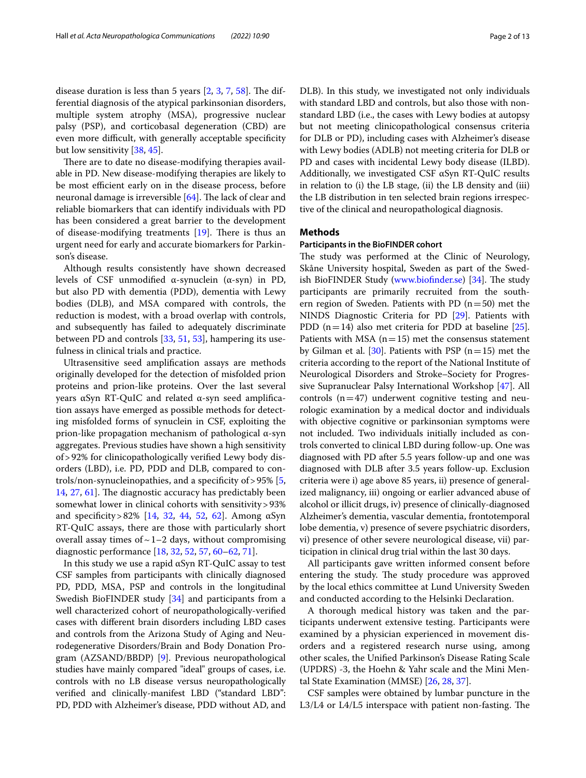disease duration is less than 5 years  $[2, 3, 7, 58]$  $[2, 3, 7, 58]$  $[2, 3, 7, 58]$  $[2, 3, 7, 58]$  $[2, 3, 7, 58]$  $[2, 3, 7, 58]$  $[2, 3, 7, 58]$  $[2, 3, 7, 58]$ . The differential diagnosis of the atypical parkinsonian disorders, multiple system atrophy (MSA), progressive nuclear palsy (PSP), and corticobasal degeneration (CBD) are even more difficult, with generally acceptable specificity but low sensitivity [\[38](#page-11-0), [45](#page-11-1)].

There are to date no disease-modifying therapies available in PD. New disease-modifying therapies are likely to be most efficient early on in the disease process, before neuronal damage is irreversible [[64](#page-12-1)]. The lack of clear and reliable biomarkers that can identify individuals with PD has been considered a great barrier to the development of disease-modifying treatments  $[19]$  $[19]$ . There is thus an urgent need for early and accurate biomarkers for Parkinson's disease.

Although results consistently have shown decreased levels of CSF unmodifed α-synuclein (α-syn) in PD, but also PD with dementia (PDD), dementia with Lewy bodies (DLB), and MSA compared with controls, the reduction is modest, with a broad overlap with controls, and subsequently has failed to adequately discriminate between PD and controls [\[33](#page-11-3), [51,](#page-12-2) [53\]](#page-12-3), hampering its usefulness in clinical trials and practice.

Ultrasensitive seed amplifcation assays are methods originally developed for the detection of misfolded prion proteins and prion-like proteins. Over the last several years αSyn RT-QuIC and related α-syn seed amplifcation assays have emerged as possible methods for detecting misfolded forms of synuclein in CSF, exploiting the prion-like propagation mechanism of pathological α-syn aggregates. Previous studies have shown a high sensitivity of>92% for clinicopathologically verifed Lewy body disorders (LBD), i.e. PD, PDD and DLB, compared to controls/non-synucleinopathies, and a specificity of  $> 95\%$  [\[5](#page-10-3), [14,](#page-11-4) [27](#page-11-5), [61](#page-12-4)]. The diagnostic accuracy has predictably been somewhat lower in clinical cohorts with sensitivity>93% and specificity > 82% [[14](#page-11-4), [32,](#page-11-6) [44](#page-11-7), [52,](#page-12-5) [62](#page-12-6)]. Among αSyn RT-QuIC assays, there are those with particularly short overall assay times of  $\sim$  1–2 days, without compromising diagnostic performance [\[18,](#page-11-8) [32](#page-11-6), [52,](#page-12-5) [57,](#page-12-7) [60](#page-12-8)[–62](#page-12-6), [71\]](#page-12-9).

In this study we use a rapid αSyn RT-QuIC assay to test CSF samples from participants with clinically diagnosed PD, PDD, MSA, PSP and controls in the longitudinal Swedish BioFINDER study [[34](#page-11-9)] and participants from a well characterized cohort of neuropathologically-verifed cases with diferent brain disorders including LBD cases and controls from the Arizona Study of Aging and Neurodegenerative Disorders/Brain and Body Donation Program (AZSAND/BBDP) [\[9](#page-10-4)]. Previous neuropathological studies have mainly compared "ideal" groups of cases, i.e. controls with no LB disease versus neuropathologically verifed and clinically-manifest LBD ("standard LBD": PD, PDD with Alzheimer's disease, PDD without AD, and DLB). In this study, we investigated not only individuals with standard LBD and controls, but also those with nonstandard LBD (i.e., the cases with Lewy bodies at autopsy but not meeting clinicopathological consensus criteria for DLB or PD), including cases with Alzheimer's disease with Lewy bodies (ADLB) not meeting criteria for DLB or PD and cases with incidental Lewy body disease (ILBD). Additionally, we investigated CSF αSyn RT-QuIC results in relation to (i) the LB stage, (ii) the LB density and (iii) the LB distribution in ten selected brain regions irrespective of the clinical and neuropathological diagnosis.

# **Methods**

# **Participants in the BioFINDER cohort**

The study was performed at the Clinic of Neurology, Skåne University hospital, Sweden as part of the Swed-ish BioFINDER Study (www.biofinder.se) [[34](#page-11-9)]. The study participants are primarily recruited from the southern region of Sweden. Patients with PD  $(n=50)$  met the NINDS Diagnostic Criteria for PD [[29\]](#page-11-10). Patients with PDD ( $n=14$ ) also met criteria for PDD at baseline [\[25](#page-11-11)]. Patients with MSA  $(n=15)$  met the consensus statement by Gilman et al. [\[30](#page-11-12)]. Patients with PSP  $(n=15)$  met the criteria according to the report of the National Institute of Neurological Disorders and Stroke–Society for Progressive Supranuclear Palsy International Workshop [\[47](#page-11-13)]. All controls  $(n=47)$  underwent cognitive testing and neurologic examination by a medical doctor and individuals with objective cognitive or parkinsonian symptoms were not included. Two individuals initially included as controls converted to clinical LBD during follow-up. One was diagnosed with PD after 5.5 years follow-up and one was diagnosed with DLB after 3.5 years follow-up. Exclusion criteria were i) age above 85 years, ii) presence of generalized malignancy, iii) ongoing or earlier advanced abuse of alcohol or illicit drugs, iv) presence of clinically-diagnosed Alzheimer's dementia, vascular dementia, frontotemporal lobe dementia, v) presence of severe psychiatric disorders, vi) presence of other severe neurological disease, vii) participation in clinical drug trial within the last 30 days.

All participants gave written informed consent before entering the study. The study procedure was approved by the local ethics committee at Lund University Sweden and conducted according to the Helsinki Declaration.

A thorough medical history was taken and the participants underwent extensive testing. Participants were examined by a physician experienced in movement disorders and a registered research nurse using, among other scales, the Unifed Parkinson's Disease Rating Scale (UPDRS) -3, the Hoehn & Yahr scale and the Mini Mental State Examination (MMSE) [\[26,](#page-11-14) [28](#page-11-15), [37\]](#page-11-16).

CSF samples were obtained by lumbar puncture in the  $L3/L4$  or  $L4/L5$  interspace with patient non-fasting. The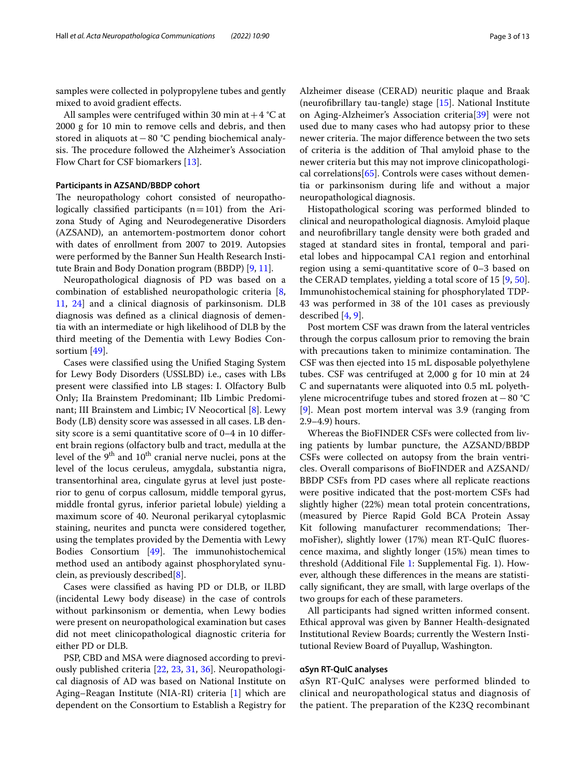samples were collected in polypropylene tubes and gently mixed to avoid gradient efects.

All samples were centrifuged within 30 min at  $+4$  °C at 2000 g for 10 min to remove cells and debris, and then stored in aliquots at−80 °C pending biochemical analysis. The procedure followed the Alzheimer's Association Flow Chart for CSF biomarkers [[13\]](#page-11-17).

#### **Participants in AZSAND/BBDP cohort**

The neuropathology cohort consisted of neuropathologically classified participants  $(n=101)$  from the Arizona Study of Aging and Neurodegenerative Disorders (AZSAND), an antemortem-postmortem donor cohort with dates of enrollment from 2007 to 2019. Autopsies were performed by the Banner Sun Health Research Institute Brain and Body Donation program (BBDP) [[9,](#page-10-4) [11\]](#page-11-18).

Neuropathological diagnosis of PD was based on a combination of established neuropathologic criteria [\[8](#page-10-5), [11,](#page-11-18) [24](#page-11-19)] and a clinical diagnosis of parkinsonism. DLB diagnosis was defned as a clinical diagnosis of dementia with an intermediate or high likelihood of DLB by the third meeting of the Dementia with Lewy Bodies Consortium [[49](#page-12-10)].

Cases were classifed using the Unifed Staging System for Lewy Body Disorders (USSLBD) i.e., cases with LBs present were classifed into LB stages: I. Olfactory Bulb Only; IIa Brainstem Predominant; IIb Limbic Predominant; III Brainstem and Limbic; IV Neocortical [[8\]](#page-10-5). Lewy Body (LB) density score was assessed in all cases. LB density score is a semi quantitative score of 0–4 in 10 diferent brain regions (olfactory bulb and tract, medulla at the level of the  $9<sup>th</sup>$  and  $10<sup>th</sup>$  cranial nerve nuclei, pons at the level of the locus ceruleus, amygdala, substantia nigra, transentorhinal area, cingulate gyrus at level just posterior to genu of corpus callosum, middle temporal gyrus, middle frontal gyrus, inferior parietal lobule) yielding a maximum score of 40. Neuronal perikaryal cytoplasmic staining, neurites and puncta were considered together, using the templates provided by the Dementia with Lewy Bodies Consortium  $[49]$  $[49]$  $[49]$ . The immunohistochemical method used an antibody against phosphorylated synuclein, as previously described $[8]$  $[8]$ .

Cases were classifed as having PD or DLB, or ILBD (incidental Lewy body disease) in the case of controls without parkinsonism or dementia, when Lewy bodies were present on neuropathological examination but cases did not meet clinicopathological diagnostic criteria for either PD or DLB.

PSP, CBD and MSA were diagnosed according to previously published criteria [\[22](#page-11-20), [23](#page-11-21), [31,](#page-11-22) [36\]](#page-11-23). Neuropathological diagnosis of AD was based on National Institute on Aging–Reagan Institute (NIA-RI) criteria [\[1](#page-10-6)] which are dependent on the Consortium to Establish a Registry for Alzheimer disease (CERAD) neuritic plaque and Braak (neurofbrillary tau-tangle) stage [\[15](#page-11-24)]. National Institute on Aging-Alzheimer's Association criteria[\[39](#page-11-25)] were not used due to many cases who had autopsy prior to these newer criteria. The major difference between the two sets of criteria is the addition of Thal amyloid phase to the newer criteria but this may not improve clinicopathological correlations[[65](#page-12-11)]. Controls were cases without dementia or parkinsonism during life and without a major neuropathological diagnosis.

Histopathological scoring was performed blinded to clinical and neuropathological diagnosis. Amyloid plaque and neurofbrillary tangle density were both graded and staged at standard sites in frontal, temporal and parietal lobes and hippocampal CA1 region and entorhinal region using a semi-quantitative score of 0–3 based on the CERAD templates, yielding a total score of 15 [[9,](#page-10-4) [50](#page-12-12)]. Immunohistochemical staining for phosphorylated TDP-43 was performed in 38 of the 101 cases as previously described [[4,](#page-10-7) [9](#page-10-4)].

Post mortem CSF was drawn from the lateral ventricles through the corpus callosum prior to removing the brain with precautions taken to minimize contamination. The CSF was then ejected into 15 mL disposable polyethylene tubes. CSF was centrifuged at 2,000 g for 10 min at 24 C and supernatants were aliquoted into 0.5 mL polyethylene microcentrifuge tubes and stored frozen at−80 °C [[9\]](#page-10-4). Mean post mortem interval was 3.9 (ranging from 2.9–4.9) hours.

Whereas the BioFINDER CSFs were collected from living patients by lumbar puncture, the AZSAND/BBDP CSFs were collected on autopsy from the brain ventricles. Overall comparisons of BioFINDER and AZSAND/ BBDP CSFs from PD cases where all replicate reactions were positive indicated that the post-mortem CSFs had slightly higher (22%) mean total protein concentrations, (measured by Pierce Rapid Gold BCA Protein Assay Kit following manufacturer recommendations; ThermoFisher), slightly lower (17%) mean RT-QuIC fuorescence maxima, and slightly longer (15%) mean times to threshold (Additional File [1](#page-10-8): Supplemental Fig. 1). However, although these diferences in the means are statistically signifcant, they are small, with large overlaps of the two groups for each of these parameters.

All participants had signed written informed consent. Ethical approval was given by Banner Health-designated Institutional Review Boards; currently the Western Institutional Review Board of Puyallup, Washington.

# **αSyn RT‑QuIC analyses**

αSyn RT-QuIC analyses were performed blinded to clinical and neuropathological status and diagnosis of the patient. The preparation of the K23Q recombinant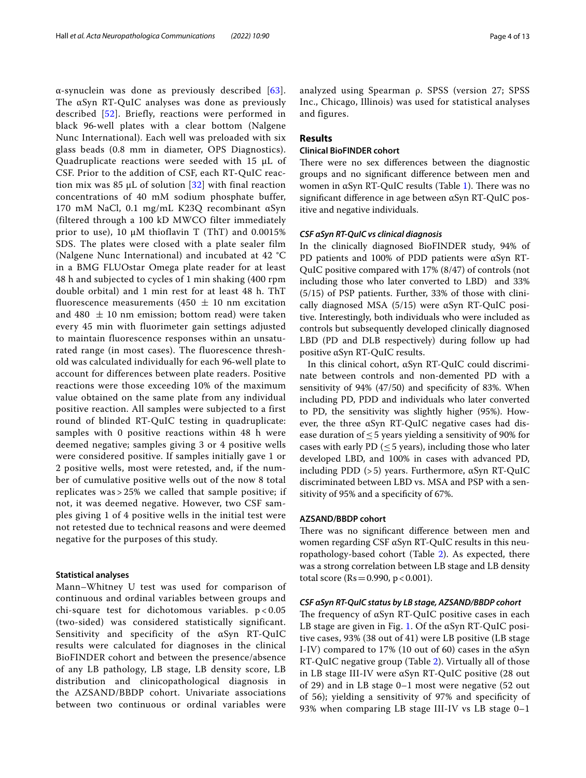$\alpha$ -synuclein was done as previously described [[63\]](#page-12-13). The αSyn RT-QuIC analyses was done as previously described [\[52\]](#page-12-5). Briefly, reactions were performed in black 96‐well plates with a clear bottom (Nalgene Nunc International). Each well was preloaded with six glass beads (0.8 mm in diameter, OPS Diagnostics). Quadruplicate reactions were seeded with 15 μL of CSF. Prior to the addition of CSF, each RT‐QuIC reaction mix was 85 μL of solution  $[32]$  $[32]$  $[32]$  with final reaction concentrations of 40 mM sodium phosphate buffer, 170 mM NaCl, 0.1 mg/mL K23Q recombinant αSyn (filtered through a 100 kD MWCO filter immediately prior to use), 10  $\mu$ M thioflavin T (ThT) and 0.0015% SDS. The plates were closed with a plate sealer film (Nalgene Nunc International) and incubated at 42 °C in a BMG FLUOstar Omega plate reader for at least 48 h and subjected to cycles of 1 min shaking (400 rpm double orbital) and 1 min rest for at least 48 h. ThT fluorescence measurements (450  $\pm$  10 nm excitation and 480  $\pm$  10 nm emission; bottom read) were taken every 45 min with fluorimeter gain settings adjusted to maintain fluorescence responses within an unsaturated range (in most cases). The fluorescence threshold was calculated individually for each 96‐well plate to account for differences between plate readers. Positive reactions were those exceeding 10% of the maximum value obtained on the same plate from any individual positive reaction. All samples were subjected to a first round of blinded RT-QuIC testing in quadruplicate: samples with 0 positive reactions within 48 h were deemed negative; samples giving 3 or 4 positive wells were considered positive. If samples initially gave 1 or 2 positive wells, most were retested, and, if the number of cumulative positive wells out of the now 8 total replicates was > 25% we called that sample positive; if not, it was deemed negative. However, two CSF samples giving 1 of 4 positive wells in the initial test were not retested due to technical reasons and were deemed negative for the purposes of this study.

# **Statistical analyses**

Mann–Whitney U test was used for comparison of continuous and ordinal variables between groups and chi-square test for dichotomous variables.  $p < 0.05$ (two-sided) was considered statistically significant. Sensitivity and specificity of the αSyn RT-QuIC results were calculated for diagnoses in the clinical BioFINDER cohort and between the presence/absence of any LB pathology, LB stage, LB density score, LB distribution and clinicopathological diagnosis in the AZSAND/BBDP cohort. Univariate associations between two continuous or ordinal variables were analyzed using Spearman ρ. SPSS (version 27; SPSS Inc., Chicago, Illinois) was used for statistical analyses and figures.

# **Results**

# **Clinical BioFINDER cohort**

There were no sex differences between the diagnostic groups and no signifcant diference between men and women in  $\alpha$ Syn RT-QuIC results (Table [1\)](#page-4-0). There was no signifcant diference in age between αSyn RT-QuIC positive and negative individuals.

# *CSF αSyn RT‑QuIC vs clinical diagnosis*

In the clinically diagnosed BioFINDER study, 94% of PD patients and 100% of PDD patients were αSyn RT-QuIC positive compared with 17% (8/47) of controls (not including those who later converted to LBD) and 33% (5/15) of PSP patients. Further, 33% of those with clinically diagnosed MSA (5/15) were αSyn RT-QuIC positive. Interestingly, both individuals who were included as controls but subsequently developed clinically diagnosed LBD (PD and DLB respectively) during follow up had positive αSyn RT-QuIC results.

In this clinical cohort, αSyn RT-QuIC could discriminate between controls and non-demented PD with a sensitivity of 94% (47/50) and specifcity of 83%. When including PD, PDD and individuals who later converted to PD, the sensitivity was slightly higher (95%). However, the three αSyn RT-QuIC negative cases had disease duration of  $\leq$  5 years yielding a sensitivity of 90% for cases with early PD ( $\leq$  5 years), including those who later developed LBD, and 100% in cases with advanced PD, including PDD (>5) years. Furthermore, αSyn RT-QuIC discriminated between LBD vs. MSA and PSP with a sensitivity of 95% and a specifcity of 67%.

# **AZSAND/BBDP cohort**

There was no significant difference between men and women regarding CSF αSyn RT-QuIC results in this neuropathology-based cohort (Table [2\)](#page-5-0). As expected, there was a strong correlation between LB stage and LB density total score ( $Rs = 0.990$ ,  $p < 0.001$ ).

#### *CSF αSyn RT‑QuIC status by LB stage, AZSAND/BBDP cohort*

The frequency of  $\alpha$ Syn RT-QuIC positive cases in each LB stage are given in Fig. [1](#page-4-1). Of the  $\alpha$ Syn RT-QuIC positive cases, 93% (38 out of 41) were LB positive (LB stage I-IV) compared to 17% (10 out of 60) cases in the  $\alpha$ Syn RT-QuIC negative group (Table [2](#page-5-0)). Virtually all of those in LB stage III-IV were αSyn RT-QuIC positive (28 out of 29) and in LB stage 0–1 most were negative (52 out of 56); yielding a sensitivity of 97% and specifcity of 93% when comparing LB stage III-IV vs LB stage 0–1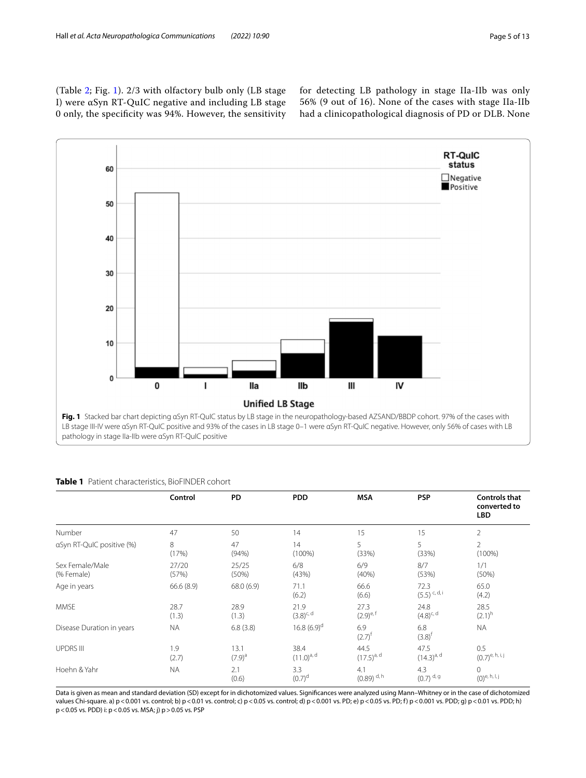(Table [2](#page-5-0); Fig. [1\)](#page-4-1). 2/3 with olfactory bulb only (LB stage I) were αSyn RT-QuIC negative and including LB stage 0 only, the specifcity was 94%. However, the sensitivity for detecting LB pathology in stage IIa-IIb was only 56% (9 out of 16). None of the cases with stage IIa-IIb had a clinicopathological diagnosis of PD or DLB. None



<span id="page-4-1"></span>pathology in stage IIa-IIb were αSyn RT-QuIC positive

|                               | Control        | PD                  | <b>PDD</b>             | <b>MSA</b>                      | <b>PSP</b>                     | <b>Controls that</b><br>converted to<br><b>LBD</b>                          |
|-------------------------------|----------------|---------------------|------------------------|---------------------------------|--------------------------------|-----------------------------------------------------------------------------|
| Number                        | 47             | 50                  | 14                     | 15                              | 15                             | $\overline{2}$                                                              |
| aSyn RT-QuIC positive (%)     | 8<br>(17%)     | 47<br>(94%)         | 14<br>$(100\%)$        | 5<br>(33%)                      | 5<br>(33%)                     | $\overline{2}$<br>$(100\%)$                                                 |
| Sex Female/Male<br>(% Female) | 27/20<br>(57%) | 25/25<br>(50%)      | 6/8<br>(43%)           | 6/9<br>(40%)                    | 8/7<br>(53%)                   | 1/1<br>(50%)                                                                |
| Age in years                  | 66.6 (8.9)     | 68.0 (6.9)          | 71.1<br>(6.2)          | 66.6<br>(6.6)                   | 72.3<br>$(5.5)$ c, d, i        | 65.0<br>(4.2)                                                               |
| <b>MMSE</b>                   | 28.7<br>(1.3)  | 28.9<br>(1.3)       | 21.9<br>$(3.8)^{c, d}$ | 27.3<br>$(2.9)^{e,f}$           | 24.8<br>$(4.8)^{c, d}$         | 28.5<br>$(2.1)^{h}$                                                         |
| Disease Duration in years     | <b>NA</b>      | 6.8(3.8)            | 16.8 $(6.9)^d$         | 6.9<br>$(2.7)^{t}$              | 6.8<br>$(3.8)^{f}$             | <b>NA</b>                                                                   |
| <b>UPDRS III</b>              | 1.9<br>(2.7)   | 13.1<br>$(7.9)^{a}$ | 38.4<br>$(11.0)^{a,d}$ | 44.5<br>$(17.5)^{a, d}$         | 47.5<br>$(14.3)^{a, d}$        | 0.5<br>$(0.7)^{e, h, i, j}$                                                 |
| Hoehn & Yahr                  | <b>NA</b>      | 2.1<br>(0.6)        | 3.3<br>$(0.7)^d$       | 4.1<br>$(0.89)$ <sup>d, h</sup> | 4.3<br>$(0.7)$ <sup>d, g</sup> | $\mathbf 0$<br>$(0)^{\mathsf{e},\, \mathsf{h},\, \mathsf{l},\, \mathsf{j}}$ |

# <span id="page-4-0"></span>**Table 1** Patient characteristics, BioFINDER cohort

Data is given as mean and standard deviation (SD) except for in dichotomized values. Signifcances were analyzed using Mann–Whitney or in the case of dichotomized values Chi-square. a) p < 0.001 vs. control; b) p < 0.01 vs. control; c) p < 0.05 vs. control; d) p < 0.001 vs. PD; e) p < 0.05 vs. PD; f) p < 0.001 vs. PDD; g) p < 0.01 vs. PDD; h) p<0.05 vs. PDD) i: p<0.05 vs. MSA; j) p>0.05 vs. PSP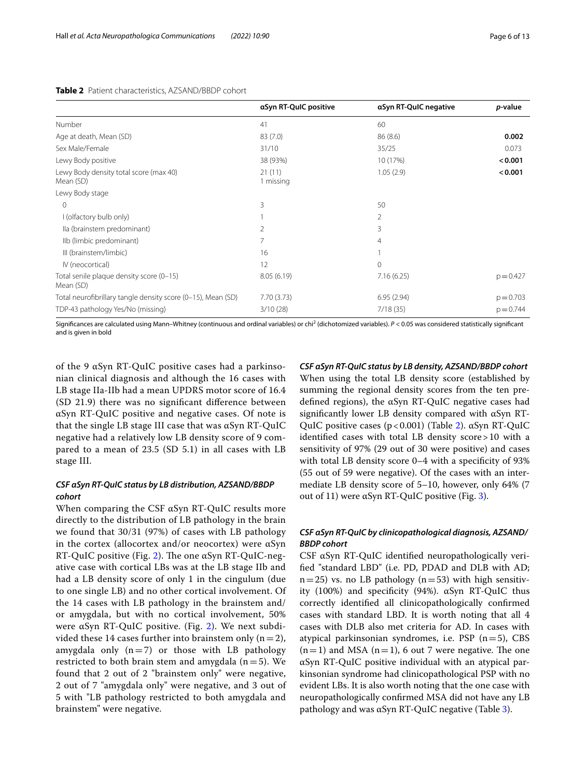## <span id="page-5-0"></span>**Table 2** Patient characteristics, AZSAND/BBDP cohort

|                                                              | aSyn RT-QuIC positive | aSyn RT-QuIC negative | p-value     |
|--------------------------------------------------------------|-----------------------|-----------------------|-------------|
| Number                                                       | 41                    | 60                    |             |
| Age at death, Mean (SD)                                      | 83(7.0)               | 86(8.6)               | 0.002       |
| Sex Male/Female                                              | 31/10                 | 35/25                 | 0.073       |
| Lewy Body positive                                           | 38 (93%)              | 10 (17%)              | < 0.001     |
| Lewy Body density total score (max 40)<br>Mean (SD)          | 21(11)<br>1 missing   | 1.05(2.9)             | < 0.001     |
| Lewy Body stage                                              |                       |                       |             |
| 0                                                            | 3                     | 50                    |             |
| I (olfactory bulb only)                                      |                       | 2                     |             |
| lla (brainstem predominant)                                  | 2                     | 3                     |             |
| Ilb (limbic predominant)                                     | 7                     | $\overline{4}$        |             |
| III (brainstem/limbic)                                       | 16                    |                       |             |
| IV (neocortical)                                             | 12                    | $\Omega$              |             |
| Total senile plaque density score (0-15)<br>Mean (SD)        | 8.05(6.19)            | 7.16(6.25)            | $p = 0.427$ |
| Total neurofibrillary tangle density score (0-15), Mean (SD) | 7.70 (3.73)           | 6.95(2.94)            | $p = 0.703$ |
| TDP-43 pathology Yes/No (missing)                            | 3/10(28)              | 7/18(35)              | $p = 0.744$ |

Significances are calculated using Mann–Whitney (continuous and ordinal variables) or chi<sup>2</sup> (dichotomized variables). *P* < 0.05 was considered statistically significant and is given in bold

of the 9 αSyn RT-QuIC positive cases had a parkinsonian clinical diagnosis and although the 16 cases with LB stage IIa-IIb had a mean UPDRS motor score of 16.4 (SD 21.9) there was no signifcant diference between αSyn RT-QuIC positive and negative cases. Of note is that the single LB stage III case that was αSyn RT-QuIC negative had a relatively low LB density score of 9 compared to a mean of 23.5 (SD 5.1) in all cases with LB stage III.

# *CSF αSyn RT‑QuIC status by LB distribution, AZSAND/BBDP cohort*

When comparing the CSF αSyn RT-QuIC results more directly to the distribution of LB pathology in the brain we found that 30/31 (97%) of cases with LB pathology in the cortex (allocortex and/or neocortex) were  $\alpha$ Syn RT-QuIC positive (Fig. [2\)](#page-6-0). The one  $\alpha$ Syn RT-QuIC-negative case with cortical LBs was at the LB stage IIb and had a LB density score of only 1 in the cingulum (due to one single LB) and no other cortical involvement. Of the 14 cases with LB pathology in the brainstem and/ or amygdala, but with no cortical involvement, 50% were αSyn RT-QuIC positive. (Fig. [2\)](#page-6-0). We next subdivided these 14 cases further into brainstem only  $(n=2)$ , amygdala only  $(n=7)$  or those with LB pathology restricted to both brain stem and amygdala  $(n=5)$ . We found that 2 out of 2 "brainstem only" were negative, 2 out of 7 "amygdala only" were negative, and 3 out of 5 with "LB pathology restricted to both amygdala and brainstem" were negative.

*CSF αSyn RT‑QuIC status by LB density, AZSAND/BBDP cohort* When using the total LB density score (established by summing the regional density scores from the ten predefned regions), the αSyn RT-QuIC negative cases had signifcantly lower LB density compared with αSyn RT-QuIC positive cases  $(p<0.001)$  (Table [2](#page-5-0)). αSyn RT-QuIC identifed cases with total LB density score>10 with a sensitivity of 97% (29 out of 30 were positive) and cases with total LB density score 0–4 with a specificity of 93% (55 out of 59 were negative). Of the cases with an intermediate LB density score of 5–10, however, only 64% (7 out of 11) were αSyn RT-QuIC positive (Fig. [3](#page-7-0)).

# *CSF αSyn RT‑QuIC by clinicopathological diagnosis, AZSAND/ BBDP cohort*

CSF αSyn RT-QuIC identifed neuropathologically verifed "standard LBD" (i.e. PD, PDAD and DLB with AD;  $n=25$ ) vs. no LB pathology ( $n=53$ ) with high sensitivity (100%) and specificity (94%).  $\alpha$ Syn RT-QuIC thus correctly identifed all clinicopathologically confrmed cases with standard LBD. It is worth noting that all 4 cases with DLB also met criteria for AD. In cases with atypical parkinsonian syndromes, i.e.  $PSP (n=5)$ , CBS  $(n=1)$  and MSA  $(n=1)$ , 6 out 7 were negative. The one αSyn RT-QuIC positive individual with an atypical parkinsonian syndrome had clinicopathological PSP with no evident LBs. It is also worth noting that the one case with neuropathologically confrmed MSA did not have any LB pathology and was  $\alpha$ Syn RT-QuIC negative (Table [3\)](#page-8-0).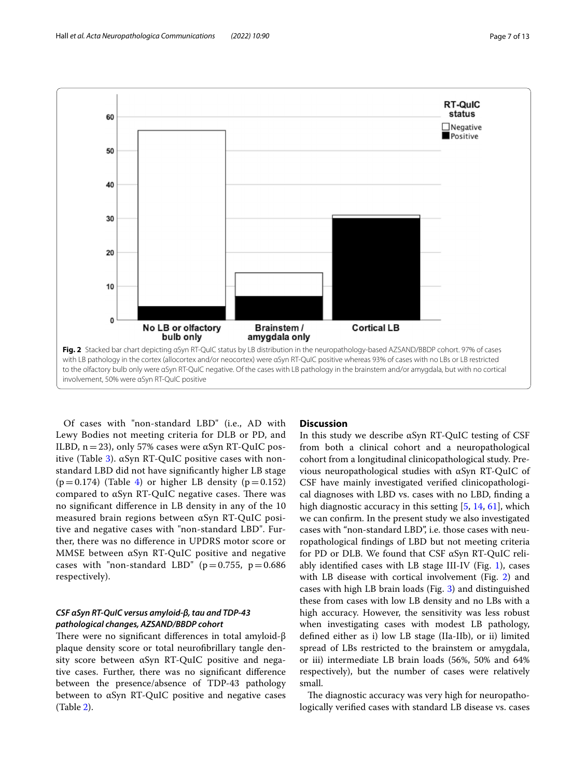

<span id="page-6-0"></span>Of cases with "non-standard LBD" (i.e., AD with Lewy Bodies not meeting criteria for DLB or PD, and ILBD,  $n=23$ ), only 57% cases were αSyn RT-QuIC pos-itive (Table [3](#page-8-0)).  $αSyn RT-QuIC$  positive cases with nonstandard LBD did not have signifcantly higher LB stage  $(p=0.174)$  $(p=0.174)$  $(p=0.174)$  (Table 4) or higher LB density  $(p=0.152)$ compared to  $\alpha$ Syn RT-QuIC negative cases. There was no signifcant diference in LB density in any of the 10 measured brain regions between αSyn RT-QuIC positive and negative cases with "non-standard LBD". Further, there was no diference in UPDRS motor score or MMSE between αSyn RT-QuIC positive and negative cases with "non-standard LBD" ( $p=0.755$ ,  $p=0.686$ ) respectively).

# *CSF αSyn RT‑QuIC versus amyloid‑β, tau and TDP‑43 pathological changes, AZSAND/BBDP cohort*

There were no significant differences in total amyloid- $\beta$ plaque density score or total neurofbrillary tangle density score between αSyn RT-QuIC positive and negative cases. Further, there was no signifcant diference between the presence/absence of TDP-43 pathology between to αSyn RT-QuIC positive and negative cases (Table [2](#page-5-0)).

# **Discussion**

In this study we describe αSyn RT-QuIC testing of CSF from both a clinical cohort and a neuropathological cohort from a longitudinal clinicopathological study. Previous neuropathological studies with αSyn RT-QuIC of CSF have mainly investigated verifed clinicopathological diagnoses with LBD vs. cases with no LBD, fnding a high diagnostic accuracy in this setting [\[5](#page-10-3), [14,](#page-11-4) [61\]](#page-12-4), which we can confrm. In the present study we also investigated cases with "non-standard LBD", i.e. those cases with neuropathological fndings of LBD but not meeting criteria for PD or DLB. We found that CSF αSyn RT-QuIC reliably identified cases with LB stage III-IV (Fig.  $1$ ), cases with LB disease with cortical involvement (Fig. [2\)](#page-6-0) and cases with high LB brain loads (Fig. [3\)](#page-7-0) and distinguished these from cases with low LB density and no LBs with a high accuracy. However, the sensitivity was less robust when investigating cases with modest LB pathology, defned either as i) low LB stage (IIa-IIb), or ii) limited spread of LBs restricted to the brainstem or amygdala, or iii) intermediate LB brain loads (56%, 50% and 64% respectively), but the number of cases were relatively small.

The diagnostic accuracy was very high for neuropathologically verifed cases with standard LB disease vs. cases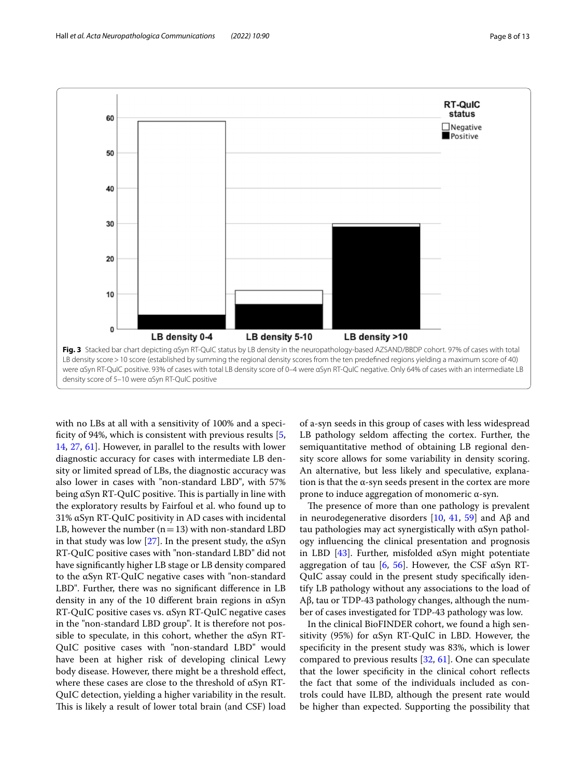

<span id="page-7-0"></span>with no LBs at all with a sensitivity of 100% and a specificity of 94%, which is consistent with previous results  $[5, 1]$  $[5, 1]$ [14,](#page-11-4) [27](#page-11-5), [61](#page-12-4)]. However, in parallel to the results with lower diagnostic accuracy for cases with intermediate LB density or limited spread of LBs, the diagnostic accuracy was also lower in cases with "non-standard LBD", with 57% being  $\alpha$ Syn RT-QuIC positive. This is partially in line with the exploratory results by Fairfoul et al. who found up to 31% αSyn RT-QuIC positivity in AD cases with incidental LB, however the number  $(n=13)$  with non-standard LBD in that study was low [[27\]](#page-11-5). In the present study, the  $\alpha$ Syn RT-QuIC positive cases with "non-standard LBD" did not have signifcantly higher LB stage or LB density compared to the αSyn RT-QuIC negative cases with "non-standard LBD". Further, there was no signifcant diference in LB density in any of the 10 diferent brain regions in αSyn RT-QuIC positive cases vs. αSyn RT-QuIC negative cases in the "non-standard LBD group". It is therefore not possible to speculate, in this cohort, whether the  $\alpha$ Syn RT-QuIC positive cases with "non-standard LBD" would have been at higher risk of developing clinical Lewy body disease. However, there might be a threshold efect, where these cases are close to the threshold of αSyn RT-QuIC detection, yielding a higher variability in the result. This is likely a result of lower total brain (and CSF) load

of a-syn seeds in this group of cases with less widespread LB pathology seldom afecting the cortex. Further, the semiquantitative method of obtaining LB regional density score allows for some variability in density scoring. An alternative, but less likely and speculative, explanation is that the  $\alpha$ -syn seeds present in the cortex are more prone to induce aggregation of monomeric α-syn.

The presence of more than one pathology is prevalent in neurodegenerative disorders [[10,](#page-11-26) [41](#page-11-27), [59](#page-12-14)] and Aβ and tau pathologies may act synergistically with αSyn pathology infuencing the clinical presentation and prognosis in LBD [\[43](#page-11-28)]. Further, misfolded αSyn might potentiate aggregation of tau [\[6](#page-10-9), [56](#page-12-15)]. However, the CSF  $\alpha$ Syn RT-QuIC assay could in the present study specifcally identify LB pathology without any associations to the load of Aβ, tau or TDP-43 pathology changes, although the number of cases investigated for TDP-43 pathology was low.

In the clinical BioFINDER cohort, we found a high sensitivity (95%) for αSyn RT-QuIC in LBD. However, the specifcity in the present study was 83%, which is lower compared to previous results [\[32](#page-11-6), [61\]](#page-12-4). One can speculate that the lower specifcity in the clinical cohort refects the fact that some of the individuals included as controls could have ILBD, although the present rate would be higher than expected. Supporting the possibility that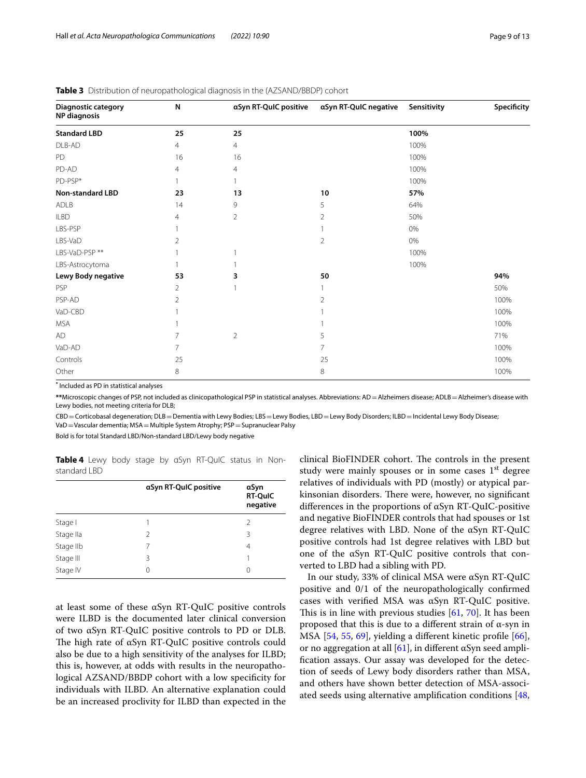| Diagnostic category<br><b>NP</b> diagnosis | N              | aSyn RT-QuIC positive | aSyn RT-QuIC negative | Sensitivity | Specificity |
|--------------------------------------------|----------------|-----------------------|-----------------------|-------------|-------------|
| <b>Standard LBD</b>                        | 25             | 25                    |                       | 100%        |             |
| DLB-AD                                     | $\overline{4}$ | $\overline{4}$        |                       | 100%        |             |
| PD                                         | 16             | 16                    |                       | 100%        |             |
| PD-AD                                      | 4              | $\overline{4}$        |                       | 100%        |             |
| PD-PSP*                                    |                |                       |                       | 100%        |             |
| <b>Non-standard LBD</b>                    | 23             | 13                    | 10                    | 57%         |             |
| ADLB                                       | 14             | 9                     | 5                     | 64%         |             |
| <b>ILBD</b>                                | 4              | $\overline{2}$        | $\overline{2}$        | 50%         |             |
| LBS-PSP                                    |                |                       |                       | 0%          |             |
| LBS-VaD                                    | 2              |                       | $\overline{2}$        | 0%          |             |
| LBS-VaD-PSP **                             |                |                       |                       | 100%        |             |
| LBS-Astrocytoma                            |                |                       |                       | 100%        |             |
| Lewy Body negative                         | 53             | 3                     | 50                    |             | 94%         |
| PSP                                        | 2              |                       | 1                     |             | 50%         |
| PSP-AD                                     | 2              |                       | $\overline{2}$        |             | 100%        |
| VaD-CBD                                    |                |                       |                       |             | 100%        |
| <b>MSA</b>                                 |                |                       |                       |             | 100%        |
| AD                                         | 7              | $\overline{2}$        | 5                     |             | 71%         |
| VaD-AD                                     | 7              |                       | $\overline{7}$        |             | 100%        |
| Controls                                   | 25             |                       | 25                    |             | 100%        |
| Other                                      | 8              |                       | 8                     |             | 100%        |

<span id="page-8-0"></span>**Table 3** Distribution of neuropathological diagnosis in the (AZSAND/BBDP) cohort

**\*** Included as PD in statistical analyses

**\*\***Microscopic changes of PSP, not included as clinicopathological PSP in statistical analyses. Abbreviations: AD=Alzheimers disease; ADLB=Alzheimer's disease with Lewy bodies, not meeting criteria for DLB;

CBD=Corticobasal degeneration; DLB=Dementia with Lewy Bodies; LBS=Lewy Bodies, LBD=Lewy Body Disorders; ILBD=Incidental Lewy Body Disease; VaD=Vascular dementia; MSA=Multiple System Atrophy; PSP=Supranuclear Palsy

Bold is for total Standard LBD/Non-standard LBD/Lewy body negative

<span id="page-8-1"></span>**Table 4** Lewy body stage by αSyn RT-QuIC status in Nonstandard LBD

|           | aSyn RT-QuIC positive | αSyn<br><b>RT-QuIC</b><br>negative |
|-----------|-----------------------|------------------------------------|
| Stage I   |                       | 2                                  |
| Stage Ila | $\mathcal{P}$         | 3                                  |
| Stage IIb | 7                     | 4                                  |
| Stage III | 3                     |                                    |
| Stage IV  | 0                     | 0                                  |
|           |                       |                                    |

at least some of these αSyn RT-QuIC positive controls were ILBD is the documented later clinical conversion of two αSyn RT-QuIC positive controls to PD or DLB. The high rate of  $\alpha$ Syn RT-QuIC positive controls could also be due to a high sensitivity of the analyses for ILBD; this is, however, at odds with results in the neuropathological AZSAND/BBDP cohort with a low specifcity for individuals with ILBD. An alternative explanation could be an increased proclivity for ILBD than expected in the

clinical BioFINDER cohort. The controls in the present study were mainly spouses or in some cases  $1<sup>st</sup>$  degree relatives of individuals with PD (mostly) or atypical parkinsonian disorders. There were, however, no significant diferences in the proportions of αSyn RT-QuIC-positive and negative BioFINDER controls that had spouses or 1st degree relatives with LBD. None of the αSyn RT-QuIC positive controls had 1st degree relatives with LBD but one of the αSyn RT-QuIC positive controls that converted to LBD had a sibling with PD.

In our study, 33% of clinical MSA were αSyn RT-QuIC positive and 0/1 of the neuropathologically confrmed cases with verifed MSA was αSyn RT-QuIC positive. This is in line with previous studies  $[61, 70]$  $[61, 70]$  $[61, 70]$  $[61, 70]$ . It has been proposed that this is due to a diferent strain of α-syn in MSA [[54,](#page-12-17) [55,](#page-12-18) [69\]](#page-12-19), yielding a diferent kinetic profle [\[66](#page-12-20)], or no aggregation at all  $[61]$  $[61]$ , in different αSyn seed amplifcation assays. Our assay was developed for the detection of seeds of Lewy body disorders rather than MSA, and others have shown better detection of MSA-associated seeds using alternative amplifcation conditions [[48](#page-12-21),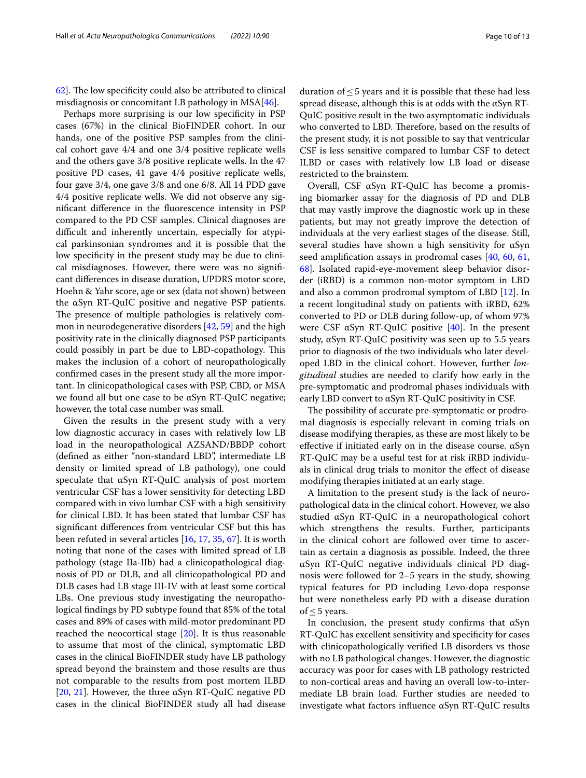$62$ ]. The low specificity could also be attributed to clinical misdiagnosis or concomitant LB pathology in MSA[[46](#page-11-29)].

Perhaps more surprising is our low specifcity in PSP cases (67%) in the clinical BioFINDER cohort. In our hands, one of the positive PSP samples from the clinical cohort gave 4/4 and one 3/4 positive replicate wells and the others gave 3/8 positive replicate wells. In the 47 positive PD cases, 41 gave 4/4 positive replicate wells, four gave 3/4, one gave 3/8 and one 6/8. All 14 PDD gave 4/4 positive replicate wells. We did not observe any signifcant diference in the fuorescence intensity in PSP compared to the PD CSF samples. Clinical diagnoses are difficult and inherently uncertain, especially for atypical parkinsonian syndromes and it is possible that the low specifcity in the present study may be due to clinical misdiagnoses. However, there were was no signifcant diferences in disease duration, UPDRS motor score, Hoehn & Yahr score, age or sex (data not shown) between the αSyn RT-QuIC positive and negative PSP patients. The presence of multiple pathologies is relatively common in neurodegenerative disorders [[42,](#page-11-30) [59](#page-12-14)] and the high positivity rate in the clinically diagnosed PSP participants could possibly in part be due to LBD-copathology. This makes the inclusion of a cohort of neuropathologically confrmed cases in the present study all the more important. In clinicopathological cases with PSP, CBD, or MSA we found all but one case to be αSyn RT-QuIC negative; however, the total case number was small.

Given the results in the present study with a very low diagnostic accuracy in cases with relatively low LB load in the neuropathological AZSAND/BBDP cohort (defned as either "non-standard LBD", intermediate LB density or limited spread of LB pathology), one could speculate that αSyn RT-QuIC analysis of post mortem ventricular CSF has a lower sensitivity for detecting LBD compared with in vivo lumbar CSF with a high sensitivity for clinical LBD. It has been stated that lumbar CSF has signifcant diferences from ventricular CSF but this has been refuted in several articles [\[16](#page-11-31), [17,](#page-11-32) [35](#page-11-33), [67\]](#page-12-22). It is worth noting that none of the cases with limited spread of LB pathology (stage IIa-IIb) had a clinicopathological diagnosis of PD or DLB, and all clinicopathological PD and DLB cases had LB stage III-IV with at least some cortical LBs. One previous study investigating the neuropathological fndings by PD subtype found that 85% of the total cases and 89% of cases with mild-motor predominant PD reached the neocortical stage [[20](#page-11-34)]. It is thus reasonable to assume that most of the clinical, symptomatic LBD cases in the clinical BioFINDER study have LB pathology spread beyond the brainstem and those results are thus not comparable to the results from post mortem ILBD [[20,](#page-11-34) [21\]](#page-11-35). However, the three αSyn RT-QuIC negative PD cases in the clinical BioFINDER study all had disease duration of  $\leq$  5 years and it is possible that these had less spread disease, although this is at odds with the αSyn RT-QuIC positive result in the two asymptomatic individuals who converted to LBD. Therefore, based on the results of the present study, it is not possible to say that ventricular CSF is less sensitive compared to lumbar CSF to detect ILBD or cases with relatively low LB load or disease restricted to the brainstem.

Overall, CSF αSyn RT-QuIC has become a promising biomarker assay for the diagnosis of PD and DLB that may vastly improve the diagnostic work up in these patients, but may not greatly improve the detection of individuals at the very earliest stages of the disease. Still, several studies have shown a high sensitivity for αSyn seed amplifcation assays in prodromal cases [\[40](#page-11-36), [60](#page-12-8), [61](#page-12-4), [68\]](#page-12-23). Isolated rapid-eye-movement sleep behavior disorder (iRBD) is a common non-motor symptom in LBD and also a common prodromal symptom of LBD [[12\]](#page-11-37). In a recent longitudinal study on patients with iRBD, 62% converted to PD or DLB during follow-up, of whom 97% were CSF  $\alpha$ Syn RT-QuIC positive [[40\]](#page-11-36). In the present study, αSyn RT-QuIC positivity was seen up to 5.5 years prior to diagnosis of the two individuals who later developed LBD in the clinical cohort. However, further *longitudinal* studies are needed to clarify how early in the pre-symptomatic and prodromal phases individuals with early LBD convert to αSyn RT-QuIC positivity in CSF.

The possibility of accurate pre-symptomatic or prodromal diagnosis is especially relevant in coming trials on disease modifying therapies, as these are most likely to be effective if initiated early on in the disease course.  $\alpha Syn$ RT-QuIC may be a useful test for at risk iRBD individuals in clinical drug trials to monitor the efect of disease modifying therapies initiated at an early stage.

A limitation to the present study is the lack of neuropathological data in the clinical cohort. However, we also studied αSyn RT-QuIC in a neuropathological cohort which strengthens the results. Further, participants in the clinical cohort are followed over time to ascertain as certain a diagnosis as possible. Indeed, the three αSyn RT-QuIC negative individuals clinical PD diagnosis were followed for 2–5 years in the study, showing typical features for PD including Levo-dopa response but were nonetheless early PD with a disease duration of  $\leq$  5 years.

In conclusion, the present study confirms that  $\alpha Syn$ RT-QuIC has excellent sensitivity and specifcity for cases with clinicopathologically verifed LB disorders vs those with no LB pathological changes. However, the diagnostic accuracy was poor for cases with LB pathology restricted to non-cortical areas and having an overall low-to-intermediate LB brain load. Further studies are needed to investigate what factors infuence αSyn RT-QuIC results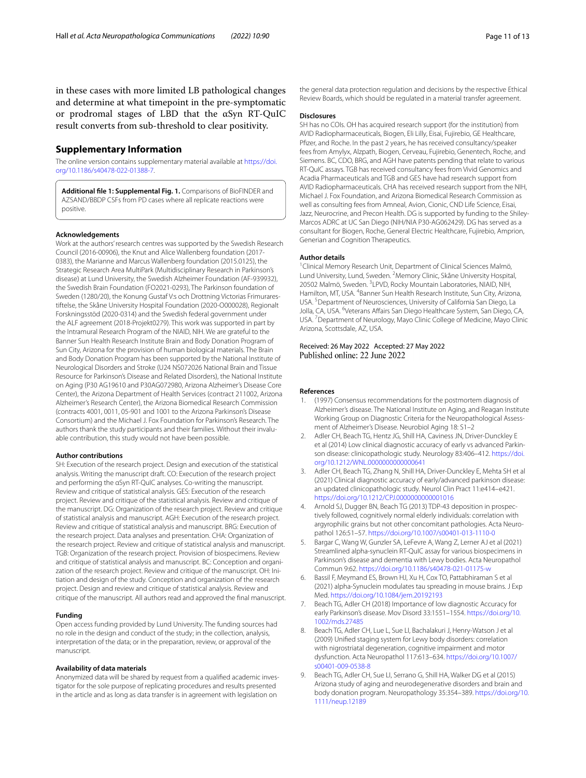in these cases with more limited LB pathological changes and determine at what timepoint in the pre-symptomatic or prodromal stages of LBD that the αSyn RT-QuIC result converts from sub-threshold to clear positivity.

## **Supplementary Information**

The online version contains supplementary material available at [https://doi.](https://doi.org/10.1186/s40478-022-01388-7) [org/10.1186/s40478-022-01388-7](https://doi.org/10.1186/s40478-022-01388-7).

<span id="page-10-8"></span>**Additional fle 1: Supplemental Fig. 1.** Comparisons of BioFINDER and AZSAND/BBDP CSFs from PD cases where all replicate reactions were positive.

#### **Acknowledgements**

Work at the authors' research centres was supported by the Swedish Research Council (2016-00906), the Knut and Alice Wallenberg foundation (2017- 0383), the Marianne and Marcus Wallenberg foundation (2015.0125), the Strategic Research Area MultiPark (Multidisciplinary Research in Parkinson's disease) at Lund University, the Swedish Alzheimer Foundation (AF-939932), the Swedish Brain Foundation (FO2021-0293), The Parkinson foundation of Sweden (1280/20), the Konung Gustaf V:s och Drottning Victorias Frimurarestiftelse, the Skåne University Hospital Foundation (2020-O000028), Regionalt Forskningsstöd (2020-0314) and the Swedish federal government under the ALF agreement (2018-Projekt0279). This work was supported in part by the Intramural Research Program of the NIAID, NIH. We are grateful to the Banner Sun Health Research Institute Brain and Body Donation Program of Sun City, Arizona for the provision of human biological materials. The Brain and Body Donation Program has been supported by the National Institute of Neurological Disorders and Stroke (U24 NS072026 National Brain and Tissue Resource for Parkinson's Disease and Related Disorders), the National Institute on Aging (P30 AG19610 and P30AG072980, Arizona Alzheimer's Disease Core Center), the Arizona Department of Health Services (contract 211002, Arizona Alzheimer's Research Center), the Arizona Biomedical Research Commission (contracts 4001, 0011, 05-901 and 1001 to the Arizona Parkinson's Disease Consortium) and the Michael J. Fox Foundation for Parkinson's Research. The authors thank the study participants and their families. Without their invaluable contribution, this study would not have been possible.

#### **Author contributions**

SH: Execution of the research project. Design and execution of the statistical analysis. Writing the manuscript draft. CO: Execution of the research project and performing the αSyn RT-QuIC analyses. Co-writing the manuscript. Review and critique of statistical analysis. GES: Execution of the research project. Review and critique of the statistical analysis. Review and critique of the manuscript. DG: Organization of the research project. Review and critique of statistical analysis and manuscript. AGH: Execution of the research project. Review and critique of statistical analysis and manuscript. BRG: Execution of the research project. Data analyses and presentation. CHA: Organization of the research project. Review and critique of statistical analysis and manuscript. TGB: Organization of the research project. Provision of biospecimens. Review and critique of statistical analysis and manuscript. BC: Conception and organization of the research project. Review and critique of the manuscript. OH: Initiation and design of the study. Conception and organization of the research project. Design and review and critique of statistical analysis. Review and critique of the manuscript. All authors read and approved the fnal manuscript.

#### **Funding**

Open access funding provided by Lund University. The funding sources had no role in the design and conduct of the study; in the collection, analysis, interpretation of the data; or in the preparation, review, or approval of the manuscript.

#### **Availability of data materials**

Anonymized data will be shared by request from a qualifed academic investigator for the sole purpose of replicating procedures and results presented in the article and as long as data transfer is in agreement with legislation on

the general data protection regulation and decisions by the respective Ethical Review Boards, which should be regulated in a material transfer agreement.

## **Disclosures**

SH has no COIs. OH has acquired research support (for the institution) from AVID Radiopharmaceuticals, Biogen, Eli Lilly, Eisai, Fujirebio, GE Healthcare, Pfzer, and Roche. In the past 2 years, he has received consultancy/speaker fees from Amylyx, Alzpath, Biogen, Cerveau, Fujirebio, Genentech, Roche, and Siemens. BC, CDO, BRG, and AGH have patents pending that relate to various RT-QuIC assays. TGB has received consultancy fees from Vivid Genomics and Acadia Pharmaceuticals and TGB and GES have had research support from AVID Radiopharmaceuticals. CHA has received research support from the NIH, Michael J. Fox Foundation, and Arizona Biomedical Research Commission as well as consulting fees from Amneal, Avion, Cionic, CND Life Science, Eisai, Jazz, Neurocrine, and Precon Health. DG is supported by funding to the Shiley-Marcos ADRC at UC San Diego (NIH/NIA P30-AG062429). DG has served as a consultant for Biogen, Roche, General Electric Healthcare, Fujirebio, Amprion, Generian and Cognition Therapeutics.

#### **Author details**

<sup>1</sup> Clinical Memory Research Unit, Department of Clinical Sciences Malmö, Lund University, Lund, Sweden. <sup>2</sup> Memory Clinic, Skåne University Hospital, 20502 Malmö, Sweden. <sup>3</sup>LPVD, Rocky Mountain Laboratories, NIAID, NIH, Hamilton, MT, USA. <sup>4</sup> Banner Sun Health Research Institute, Sun City, Arizona, USA.<sup>5</sup> Department of Neurosciences, University of California San Diego, La Jolla, CA, USA. <sup>6</sup>Veterans Affairs San Diego Healthcare System, San Diego, CA, USA.<sup>7</sup> Department of Neurology, Mayo Clinic College of Medicine, Mayo Clinic Arizona, Scottsdale, AZ, USA.

# Received: 26 May 2022 Accepted: 27 May 2022<br>Published online: 22 June 2022

#### **References**

- <span id="page-10-6"></span>1. (1997) Consensus recommendations for the postmortem diagnosis of Alzheimer's disease. The National Institute on Aging, and Reagan Institute Working Group on Diagnostic Criteria for the Neuropathological Assessment of Alzheimer's Disease. Neurobiol Aging 18: S1–2
- <span id="page-10-0"></span>Adler CH, Beach TG, Hentz JG, Shill HA, Caviness JN, Driver-Dunckley E et al (2014) Low clinical diagnostic accuracy of early vs advanced Parkinson disease: clinicopathologic study. Neurology 83:406–412. [https://doi.](https://doi.org/10.1212/WNL.0000000000000641) [org/10.1212/WNL.0000000000000641](https://doi.org/10.1212/WNL.0000000000000641)
- <span id="page-10-1"></span>3. Adler CH, Beach TG, Zhang N, Shill HA, Driver-Dunckley E, Mehta SH et al (2021) Clinical diagnostic accuracy of early/advanced parkinson disease: an updated clinicopathologic study. Neurol Clin Pract 11:e414–e421. <https://doi.org/10.1212/CPJ.0000000000001016>
- <span id="page-10-7"></span>4. Arnold SJ, Dugger BN, Beach TG (2013) TDP-43 deposition in prospectively followed, cognitively normal elderly individuals: correlation with argyrophilic grains but not other concomitant pathologies. Acta Neuropathol 126:51–57.<https://doi.org/10.1007/s00401-013-1110-0>
- <span id="page-10-3"></span>5. Bargar C, Wang W, Gunzler SA, LeFevre A, Wang Z, Lerner AJ et al (2021) Streamlined alpha-synuclein RT-QuIC assay for various biospecimens in Parkinson's disease and dementia with Lewy bodies. Acta Neuropathol Commun 9:62.<https://doi.org/10.1186/s40478-021-01175-w>
- <span id="page-10-9"></span>6. Bassil F, Meymand ES, Brown HJ, Xu H, Cox TO, Pattabhiraman S et al (2021) alpha-Synuclein modulates tau spreading in mouse brains. J Exp Med.<https://doi.org/10.1084/jem.20192193>
- <span id="page-10-2"></span>7. Beach TG, Adler CH (2018) Importance of low diagnostic Accuracy for early Parkinson's disease. Mov Disord 33:1551–1554. [https://doi.org/10.](https://doi.org/10.1002/mds.27485) [1002/mds.27485](https://doi.org/10.1002/mds.27485)
- <span id="page-10-5"></span>8. Beach TG, Adler CH, Lue L, Sue LI, Bachalakuri J, Henry-Watson J et al (2009) Unifed staging system for Lewy body disorders: correlation with nigrostriatal degeneration, cognitive impairment and motor dysfunction. Acta Neuropathol 117:613–634. [https://doi.org/10.1007/](https://doi.org/10.1007/s00401-009-0538-8) [s00401-009-0538-8](https://doi.org/10.1007/s00401-009-0538-8)
- <span id="page-10-4"></span>9. Beach TG, Adler CH, Sue LI, Serrano G, Shill HA, Walker DG et al (2015) Arizona study of aging and neurodegenerative disorders and brain and body donation program. Neuropathology 35:354–389. [https://doi.org/10.](https://doi.org/10.1111/neup.12189) [1111/neup.12189](https://doi.org/10.1111/neup.12189)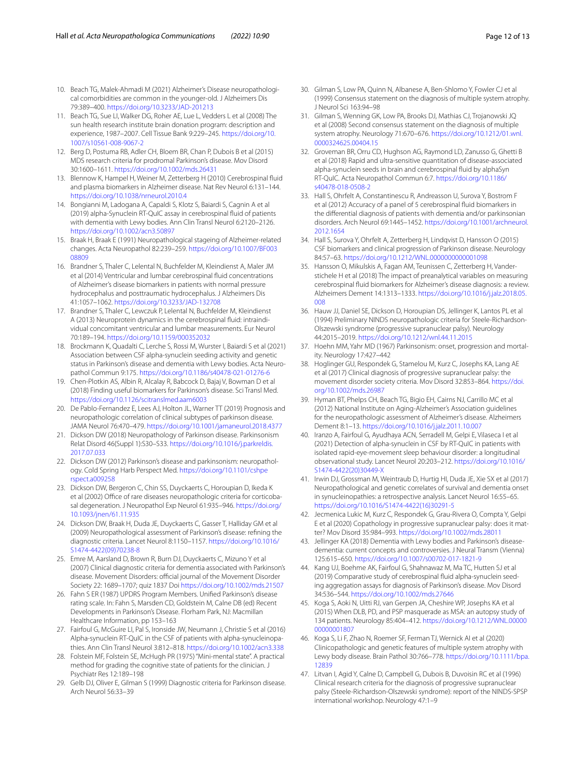- <span id="page-11-26"></span>10. Beach TG, Malek-Ahmadi M (2021) Alzheimer's Disease neuropathological comorbidities are common in the younger-old. J Alzheimers Dis 79:389–400. <https://doi.org/10.3233/JAD-201213>
- <span id="page-11-18"></span>11. Beach TG, Sue LI, Walker DG, Roher AE, Lue L, Vedders L et al (2008) The sun health research institute brain donation program: description and experience, 1987–2007. Cell Tissue Bank 9:229–245. [https://doi.org/10.](https://doi.org/10.1007/s10561-008-9067-2) [1007/s10561-008-9067-2](https://doi.org/10.1007/s10561-008-9067-2)
- <span id="page-11-37"></span>12. Berg D, Postuma RB, Adler CH, Bloem BR, Chan P, Dubois B et al (2015) MDS research criteria for prodromal Parkinson's disease. Mov Disord 30:1600–1611.<https://doi.org/10.1002/mds.26431>
- <span id="page-11-17"></span>13. Blennow K, Hampel H, Weiner M, Zetterberg H (2010) Cerebrospinal fuid and plasma biomarkers in Alzheimer disease. Nat Rev Neurol 6:131–144. <https://doi.org/10.1038/nrneurol.2010.4>
- <span id="page-11-4"></span>14. Bongianni M, Ladogana A, Capaldi S, Klotz S, Baiardi S, Cagnin A et al (2019) alpha-Synuclein RT-QuIC assay in cerebrospinal fuid of patients with dementia with Lewy bodies. Ann Clin Transl Neurol 6:2120–2126. <https://doi.org/10.1002/acn3.50897>
- <span id="page-11-24"></span>15. Braak H, Braak E (1991) Neuropathological stageing of Alzheimer-related changes. Acta Neuropathol 82:239–259. [https://doi.org/10.1007/BF003](https://doi.org/10.1007/BF00308809) [08809](https://doi.org/10.1007/BF00308809)
- <span id="page-11-31"></span>16. Brandner S, Thaler C, Lelental N, Buchfelder M, Kleindienst A, Maler JM et al (2014) Ventricular and lumbar cerebrospinal fuid concentrations of Alzheimer's disease biomarkers in patients with normal pressure hydrocephalus and posttraumatic hydrocephalus. J Alzheimers Dis 41:1057–1062.<https://doi.org/10.3233/JAD-132708>
- <span id="page-11-32"></span>17. Brandner S, Thaler C, Lewczuk P, Lelental N, Buchfelder M, Kleindienst A (2013) Neuroprotein dynamics in the cerebrospinal fuid: intraindividual concomitant ventricular and lumbar measurements. Eur Neurol 70:189–194. <https://doi.org/10.1159/000352032>
- <span id="page-11-8"></span>18. Brockmann K, Quadalti C, Lerche S, Rossi M, Wurster I, Baiardi S et al (2021) Association between CSF alpha-synuclein seeding activity and genetic status in Parkinson's disease and dementia with Lewy bodies. Acta Neuropathol Commun 9:175. <https://doi.org/10.1186/s40478-021-01276-6>
- <span id="page-11-2"></span>19. Chen-Plotkin AS, Albin R, Alcalay R, Babcock D, Bajaj V, Bowman D et al (2018) Finding useful biomarkers for Parkinson's disease. Sci Transl Med. <https://doi.org/10.1126/scitranslmed.aam6003>
- <span id="page-11-34"></span>20. De Pablo-Fernandez E, Lees AJ, Holton JL, Warner TT (2019) Prognosis and neuropathologic correlation of clinical subtypes of parkinson disease. JAMA Neurol 76:470–479.<https://doi.org/10.1001/jamaneurol.2018.4377>
- <span id="page-11-35"></span>21. Dickson DW (2018) Neuropathology of Parkinson disease. Parkinsonism Relat Disord 46(Suppl 1):S30–S33. [https://doi.org/10.1016/j.parkreldis.](https://doi.org/10.1016/j.parkreldis.2017.07.033) [2017.07.033](https://doi.org/10.1016/j.parkreldis.2017.07.033)
- <span id="page-11-20"></span>22. Dickson DW (2012) Parkinson's disease and parkinsonism: neuropathology. Cold Spring Harb Perspect Med. [https://doi.org/10.1101/cshpe](https://doi.org/10.1101/cshperspect.a009258) [rspect.a009258](https://doi.org/10.1101/cshperspect.a009258)
- <span id="page-11-21"></span>23. Dickson DW, Bergeron C, Chin SS, Duyckaerts C, Horoupian D, Ikeda K et al (2002) Office of rare diseases neuropathologic criteria for corticobasal degeneration. J Neuropathol Exp Neurol 61:935–946. [https://doi.org/](https://doi.org/10.1093/jnen/61.11.935) [10.1093/jnen/61.11.935](https://doi.org/10.1093/jnen/61.11.935)
- <span id="page-11-19"></span>24. Dickson DW, Braak H, Duda JE, Duyckaerts C, Gasser T, Halliday GM et al (2009) Neuropathological assessment of Parkinson's disease: refning the diagnostic criteria. Lancet Neurol 8:1150–1157. [https://doi.org/10.1016/](https://doi.org/10.1016/S1474-4422(09)70238-8) [S1474-4422\(09\)70238-8](https://doi.org/10.1016/S1474-4422(09)70238-8)
- <span id="page-11-11"></span>25. Emre M, Aarsland D, Brown R, Burn DJ, Duyckaerts C, Mizuno Y et al (2007) Clinical diagnostic criteria for dementia associated with Parkinson's disease. Movement Disorders: official journal of the Movement Disorder Society 22: 1689–1707; quiz 1837 Doi <https://doi.org/10.1002/mds.21507>
- <span id="page-11-14"></span>26. Fahn S ER (1987) UPDRS Program Members. Unifed Parkinson's disease rating scale. In: Fahn S, Marsden CD, Goldstein M, Calne DB (ed) Recent Developments in Parkinson's Disease. Florham Park, NJ: Macmillan Healthcare Information, pp 153–163
- <span id="page-11-5"></span>27. Fairfoul G, McGuire LI, Pal S, Ironside JW, Neumann J, Christie S et al (2016) Alpha-synuclein RT-QuIC in the CSF of patients with alpha-synucleinopathies. Ann Clin Transl Neurol 3:812–818. <https://doi.org/10.1002/acn3.338>
- <span id="page-11-15"></span>28. Folstein MF, Folstein SE, McHugh PR (1975) "Mini-mental state". A practical method for grading the cognitive state of patients for the clinician. J Psychiatr Res 12:189–198
- <span id="page-11-10"></span>29. Gelb DJ, Oliver E, Gilman S (1999) Diagnostic criteria for Parkinson disease. Arch Neurol 56:33–39
- <span id="page-11-12"></span>30. Gilman S, Low PA, Quinn N, Albanese A, Ben-Shlomo Y, Fowler CJ et al (1999) Consensus statement on the diagnosis of multiple system atrophy. J Neurol Sci 163:94–98
- <span id="page-11-22"></span>31. Gilman S, Wenning GK, Low PA, Brooks DJ, Mathias CJ, Trojanowski JQ et al (2008) Second consensus statement on the diagnosis of multiple system atrophy. Neurology 71:670–676. [https://doi.org/10.1212/01.wnl.](https://doi.org/10.1212/01.wnl.0000324625.00404.15) [0000324625.00404.15](https://doi.org/10.1212/01.wnl.0000324625.00404.15)
- <span id="page-11-6"></span>32. Groveman BR, Orru CD, Hughson AG, Raymond LD, Zanusso G, Ghetti B et al (2018) Rapid and ultra-sensitive quantitation of disease-associated alpha-synuclein seeds in brain and cerebrospinal fuid by alphaSyn RT-QuIC. Acta Neuropathol Commun 6:7. [https://doi.org/10.1186/](https://doi.org/10.1186/s40478-018-0508-2) [s40478-018-0508-2](https://doi.org/10.1186/s40478-018-0508-2)
- <span id="page-11-3"></span>33. Hall S, Ohrfelt A, Constantinescu R, Andreasson U, Surova Y, Bostrom F et al (2012) Accuracy of a panel of 5 cerebrospinal fuid biomarkers in the diferential diagnosis of patients with dementia and/or parkinsonian disorders. Arch Neurol 69:1445–1452. [https://doi.org/10.1001/archneurol.](https://doi.org/10.1001/archneurol.2012.1654) [2012.1654](https://doi.org/10.1001/archneurol.2012.1654)
- <span id="page-11-9"></span>34. Hall S, Surova Y, Ohrfelt A, Zetterberg H, Lindqvist D, Hansson O (2015) CSF biomarkers and clinical progression of Parkinson disease. Neurology 84:57–63. <https://doi.org/10.1212/WNL.0000000000001098>
- <span id="page-11-33"></span>35. Hansson O, Mikulskis A, Fagan AM, Teunissen C, Zetterberg H, Vanderstichele H et al (2018) The impact of preanalytical variables on measuring cerebrospinal fuid biomarkers for Alzheimer's disease diagnosis: a review. Alzheimers Dement 14:1313–1333. [https://doi.org/10.1016/j.jalz.2018.05.](https://doi.org/10.1016/j.jalz.2018.05.008) [008](https://doi.org/10.1016/j.jalz.2018.05.008)
- <span id="page-11-23"></span>36. Hauw JJ, Daniel SE, Dickson D, Horoupian DS, Jellinger K, Lantos PL et al (1994) Preliminary NINDS neuropathologic criteria for Steele-Richardson-Olszewski syndrome (progressive supranuclear palsy). Neurology 44:2015–2019.<https://doi.org/10.1212/wnl.44.11.2015>
- <span id="page-11-16"></span>37. Hoehn MM, Yahr MD (1967) Parkinsonism: onset, progression and mortality. Neurology 17:427–442
- <span id="page-11-0"></span>38. Hoglinger GU, Respondek G, Stamelou M, Kurz C, Josephs KA, Lang AE et al (2017) Clinical diagnosis of progressive supranuclear palsy: the movement disorder society criteria. Mov Disord 32:853–864. [https://doi.](https://doi.org/10.1002/mds.26987) [org/10.1002/mds.26987](https://doi.org/10.1002/mds.26987)
- <span id="page-11-25"></span>39. Hyman BT, Phelps CH, Beach TG, Bigio EH, Cairns NJ, Carrillo MC et al (2012) National Institute on Aging-Alzheimer's Association guidelines for the neuropathologic assessment of Alzheimer's disease. Alzheimers Dement 8:1–13. <https://doi.org/10.1016/j.jalz.2011.10.007>
- <span id="page-11-36"></span>40. Iranzo A, Fairfoul G, Ayudhaya ACN, Serradell M, Gelpi E, Vilaseca I et al (2021) Detection of alpha-synuclein in CSF by RT-QuIC in patients with isolated rapid-eye-movement sleep behaviour disorder: a longitudinal observational study. Lancet Neurol 20:203–212. [https://doi.org/10.1016/](https://doi.org/10.1016/S1474-4422(20)30449-X) [S1474-4422\(20\)30449-X](https://doi.org/10.1016/S1474-4422(20)30449-X)
- <span id="page-11-27"></span>41. Irwin DJ, Grossman M, Weintraub D, Hurtig HI, Duda JE, Xie SX et al (2017) Neuropathological and genetic correlates of survival and dementia onset in synucleinopathies: a retrospective analysis. Lancet Neurol 16:55–65. [https://doi.org/10.1016/S1474-4422\(16\)30291-5](https://doi.org/10.1016/S1474-4422(16)30291-5)
- <span id="page-11-30"></span>42. Jecmenica Lukic M, Kurz C, Respondek G, Grau-Rivera O, Compta Y, Gelpi E et al (2020) Copathology in progressive supranuclear palsy: does it matter? Mov Disord 35:984–993. <https://doi.org/10.1002/mds.28011>
- <span id="page-11-28"></span>43. Jellinger KA (2018) Dementia with Lewy bodies and Parkinson's diseasedementia: current concepts and controversies. J Neural Transm (Vienna) 125:615–650. <https://doi.org/10.1007/s00702-017-1821-9>
- <span id="page-11-7"></span>44. Kang UJ, Boehme AK, Fairfoul G, Shahnawaz M, Ma TC, Hutten SJ et al (2019) Comparative study of cerebrospinal fuid alpha-synuclein seeding aggregation assays for diagnosis of Parkinson's disease. Mov Disord 34:536–544.<https://doi.org/10.1002/mds.27646>
- <span id="page-11-1"></span>45. Koga S, Aoki N, Uitti RJ, van Gerpen JA, Cheshire WP, Josephs KA et al (2015) When DLB, PD, and PSP masquerade as MSA: an autopsy study of 134 patients. Neurology 85:404–412. [https://doi.org/10.1212/WNL.00000](https://doi.org/10.1212/WNL.0000000000001807) [00000001807](https://doi.org/10.1212/WNL.0000000000001807)
- <span id="page-11-29"></span>46. Koga S, Li F, Zhao N, Roemer SF, Ferman TJ, Wernick AI et al (2020) Clinicopathologic and genetic features of multiple system atrophy with Lewy body disease. Brain Pathol 30:766–778. [https://doi.org/10.1111/bpa.](https://doi.org/10.1111/bpa.12839) [12839](https://doi.org/10.1111/bpa.12839)
- <span id="page-11-13"></span>47. Litvan I, Agid Y, Calne D, Campbell G, Dubois B, Duvoisin RC et al (1996) Clinical research criteria for the diagnosis of progressive supranuclear palsy (Steele-Richardson-Olszewski syndrome): report of the NINDS-SPSP international workshop. Neurology 47:1–9